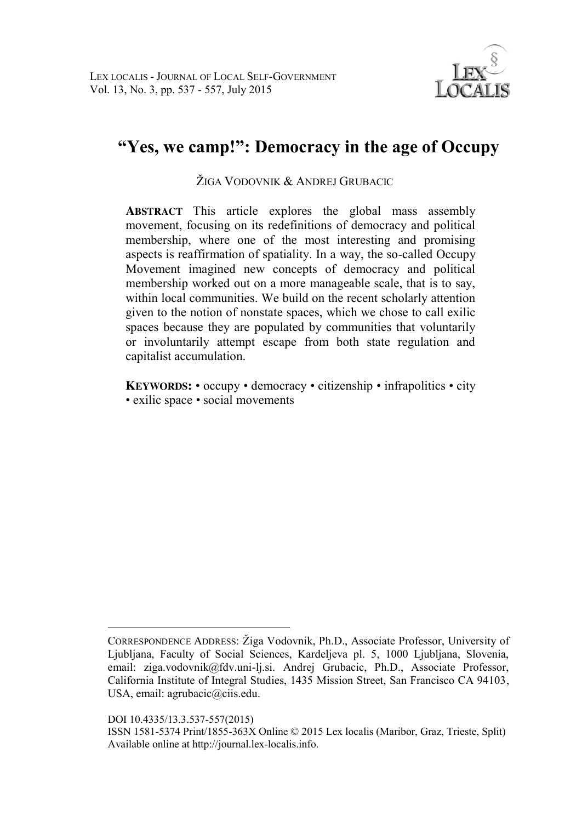

# **"Yes, we camp!": Democracy in the age of Occupy**

# ŽIGA VODOVNIK & ANDREJ GRUBACIC

**ABSTRACT** This article explores the global mass assembly movement, focusing on its redefinitions of democracy and political membership, where one of the most interesting and promising aspects is reaffirmation of spatiality. In a way, the so-called Occupy Movement imagined new concepts of democracy and political membership worked out on a more manageable scale, that is to say, within local communities. We build on the recent scholarly attention given to the notion of nonstate spaces, which we chose to call exilic spaces because they are populated by communities that voluntarily or involuntarily attempt escape from both state regulation and capitalist accumulation.

**KEYWORDS:** • occupy • democracy • citizenship • infrapolitics • city • exilic space • social movements

DOI 10.4335/13.3.537-557(2015)

CORRESPONDENCE ADDRESS: Žiga Vodovnik, Ph.D., Associate Professor, University of Ljubljana, Faculty of Social Sciences, Kardeljeva pl. 5, 1000 Ljubljana, Slovenia, email: ziga.vodovnik@fdv.uni-lj.si. Andrej Grubacic, Ph.D., Associate Professor, California Institute of Integral Studies, 1435 Mission Street, San Francisco CA 94103, USA, email: agrubacic@ciis.edu.

ISSN 1581-5374 Print/1855-363X Online © 2015 Lex localis (Maribor, Graz, Trieste, Split) Available online at http://journal.lex-localis.info.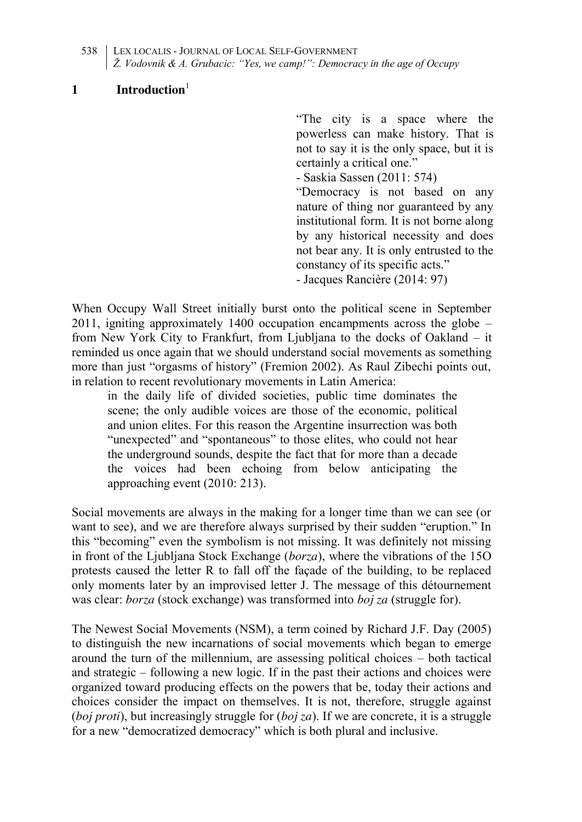#### **1 Introduction**<sup>1</sup>

"The city is a space where the powerless can make history. That is not to say it is the only space, but it is certainly a critical one."

- Saskia Sassen (2011: 574)

"Democracy is not based on any nature of thing nor guaranteed by any institutional form. It is not borne along by any historical necessity and does not bear any. It is only entrusted to the constancy of its specific acts."

- Jacques Rancière (2014: 97)

When Occupy Wall Street initially burst onto the political scene in September 2011, igniting approximately 1400 occupation encampments across the globe – from New York City to Frankfurt, from Ljubljana to the docks of Oakland – it reminded us once again that we should understand social movements as something more than just "orgasms of history" (Fremion 2002). As Raul Zibechi points out, in relation to recent revolutionary movements in Latin America:

in the daily life of divided societies, public time dominates the scene; the only audible voices are those of the economic, political and union elites. For this reason the Argentine insurrection was both "unexpected" and "spontaneous" to those elites, who could not hear the underground sounds, despite the fact that for more than a decade the voices had been echoing from below anticipating the approaching event (2010: 213).

Social movements are always in the making for a longer time than we can see (or want to see), and we are therefore always surprised by their sudden "eruption." In this "becoming" even the symbolism is not missing. It was definitely not missing in front of the Ljubljana Stock Exchange (*borza*), where the vibrations of the 15O protests caused the letter R to fall off the façade of the building, to be replaced only moments later by an improvised letter J. The message of this détournement was clear: *borza* (stock exchange) was transformed into *boj za* (struggle for).

The Newest Social Movements (NSM), a term coined by Richard J.F. Day (2005) to distinguish the new incarnations of social movements which began to emerge around the turn of the millennium, are assessing political choices – both tactical and strategic – following a new logic. If in the past their actions and choices were organized toward producing effects on the powers that be, today their actions and choices consider the impact on themselves. It is not, therefore, struggle against (*boj proti*), but increasingly struggle for (*boj za*). If we are concrete, it is a struggle for a new "democratized democracy" which is both plural and inclusive.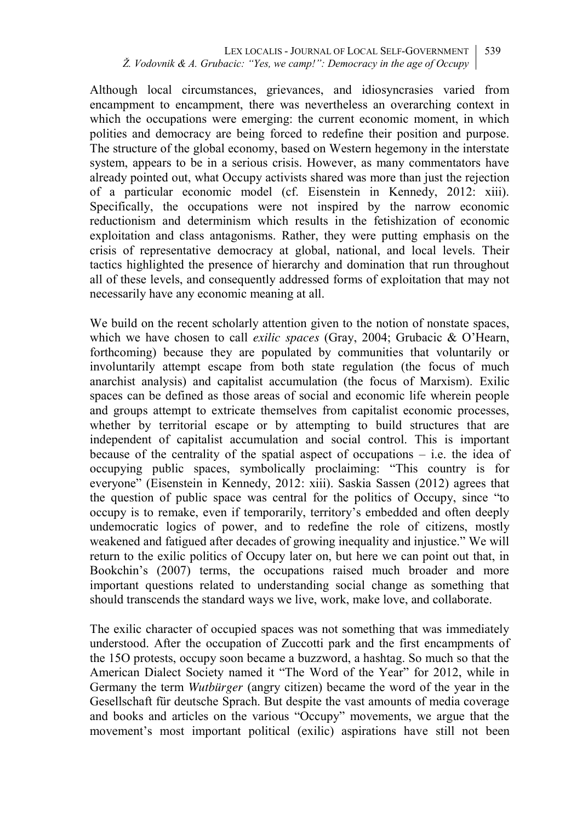Although local circumstances, grievances, and idiosyncrasies varied from encampment to encampment, there was nevertheless an overarching context in which the occupations were emerging: the current economic moment, in which polities and democracy are being forced to redefine their position and purpose. The structure of the global economy, based on Western hegemony in the interstate system, appears to be in a serious crisis. However, as many commentators have already pointed out, what Occupy activists shared was more than just the rejection of a particular economic model (cf. Eisenstein in Kennedy, 2012: xiii). Specifically, the occupations were not inspired by the narrow economic reductionism and determinism which results in the fetishization of economic exploitation and class antagonisms. Rather, they were putting emphasis on the crisis of representative democracy at global, national, and local levels. Their tactics highlighted the presence of hierarchy and domination that run throughout all of these levels, and consequently addressed forms of exploitation that may not necessarily have any economic meaning at all.

We build on the recent scholarly attention given to the notion of nonstate spaces, which we have chosen to call *exilic spaces* (Gray, 2004; Grubacic & O'Hearn, forthcoming) because they are populated by communities that voluntarily or involuntarily attempt escape from both state regulation (the focus of much anarchist analysis) and capitalist accumulation (the focus of Marxism). Exilic spaces can be defined as those areas of social and economic life wherein people and groups attempt to extricate themselves from capitalist economic processes, whether by territorial escape or by attempting to build structures that are independent of capitalist accumulation and social control. This is important because of the centrality of the spatial aspect of occupations – i.e. the idea of occupying public spaces, symbolically proclaiming: "This country is for everyone" (Eisenstein in Kennedy, 2012: xiii). Saskia Sassen (2012) agrees that the question of public space was central for the politics of Occupy, since "to occupy is to remake, even if temporarily, territory's embedded and often deeply undemocratic logics of power, and to redefine the role of citizens, mostly weakened and fatigued after decades of growing inequality and injustice." We will return to the exilic politics of Occupy later on, but here we can point out that, in Bookchin's (2007) terms, the occupations raised much broader and more important questions related to understanding social change as something that should transcends the standard ways we live, work, make love, and collaborate.

The exilic character of occupied spaces was not something that was immediately understood. After the occupation of Zuccotti park and the first encampments of the 15O protests, occupy soon became a buzzword, a hashtag. So much so that the American Dialect Society named it "The Word of the Year" for 2012, while in Germany the term *Wutbürger* (angry citizen) became the word of the year in the Gesellschaft für deutsche Sprach. But despite the vast amounts of media coverage and books and articles on the various "Occupy" movements, we argue that the movement's most important political (exilic) aspirations have still not been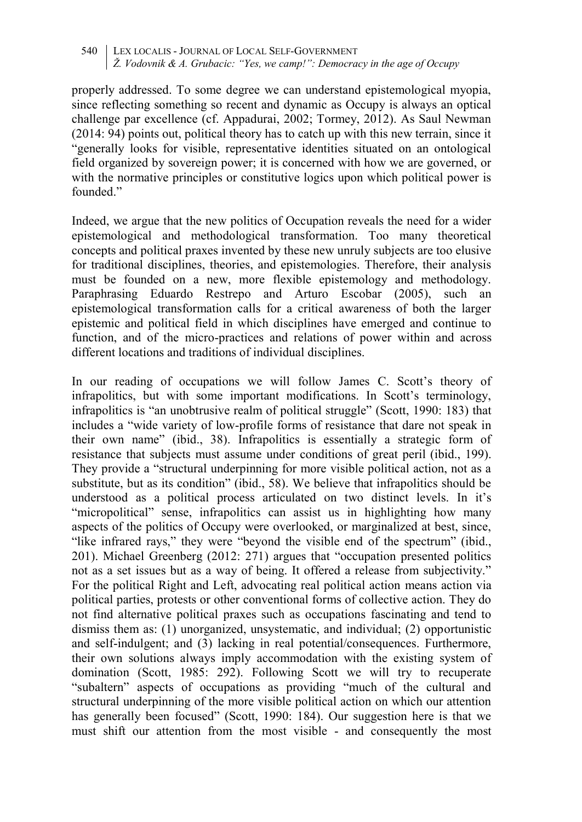540 LEX LOCALIS - JOURNAL OF LOCAL SELF-GOVERNMENT *Ž. Vodovnik & A. Grubacic: "Yes, we camp!": Democracy in the age of Occupy*

properly addressed. To some degree we can understand epistemological myopia, since reflecting something so recent and dynamic as Occupy is always an optical challenge par excellence (cf. Appadurai, 2002; Tormey, 2012). As Saul Newman (2014: 94) points out, political theory has to catch up with this new terrain, since it "generally looks for visible, representative identities situated on an ontological field organized by sovereign power; it is concerned with how we are governed, or with the normative principles or constitutive logics upon which political power is founded."

Indeed, we argue that the new politics of Occupation reveals the need for a wider epistemological and methodological transformation. Too many theoretical concepts and political praxes invented by these new unruly subjects are too elusive for traditional disciplines, theories, and epistemologies. Therefore, their analysis must be founded on a new, more flexible epistemology and methodology. Paraphrasing Eduardo Restrepo and Arturo Escobar (2005), such an epistemological transformation calls for a critical awareness of both the larger epistemic and political field in which disciplines have emerged and continue to function, and of the micro-practices and relations of power within and across different locations and traditions of individual disciplines.

In our reading of occupations we will follow James C. Scott's theory of infrapolitics, but with some important modifications. In Scott's terminology, infrapolitics is "an unobtrusive realm of political struggle" (Scott, 1990: 183) that includes a "wide variety of low-profile forms of resistance that dare not speak in their own name" (ibid., 38). Infrapolitics is essentially a strategic form of resistance that subjects must assume under conditions of great peril (ibid., 199). They provide a "structural underpinning for more visible political action, not as a substitute, but as its condition" (ibid., 58). We believe that infrapolitics should be understood as a political process articulated on two distinct levels. In it's "micropolitical" sense, infrapolitics can assist us in highlighting how many aspects of the politics of Occupy were overlooked, or marginalized at best, since, "like infrared rays," they were "beyond the visible end of the spectrum" (ibid., 201). Michael Greenberg (2012: 271) argues that "occupation presented politics not as a set issues but as a way of being. It offered a release from subjectivity." For the political Right and Left, advocating real political action means action via political parties, protests or other conventional forms of collective action. They do not find alternative political praxes such as occupations fascinating and tend to dismiss them as: (1) unorganized, unsystematic, and individual; (2) opportunistic and self-indulgent; and (3) lacking in real potential/consequences. Furthermore, their own solutions always imply accommodation with the existing system of domination (Scott, 1985: 292). Following Scott we will try to recuperate "subaltern" aspects of occupations as providing "much of the cultural and structural underpinning of the more visible political action on which our attention has generally been focused" (Scott, 1990: 184). Our suggestion here is that we must shift our attention from the most visible - and consequently the most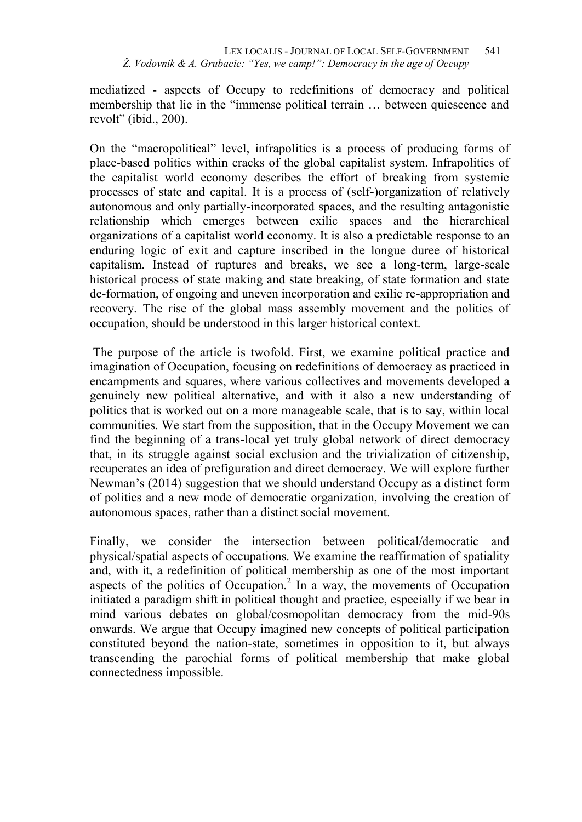mediatized - aspects of Occupy to redefinitions of democracy and political membership that lie in the "immense political terrain … between quiescence and revolt" (ibid., 200).

On the "macropolitical" level, infrapolitics is a process of producing forms of place-based politics within cracks of the global capitalist system. Infrapolitics of the capitalist world economy describes the effort of breaking from systemic processes of state and capital. It is a process of (self-)organization of relatively autonomous and only partially-incorporated spaces, and the resulting antagonistic relationship which emerges between exilic spaces and the hierarchical organizations of a capitalist world economy. It is also a predictable response to an enduring logic of exit and capture inscribed in the longue duree of historical capitalism. Instead of ruptures and breaks, we see a long-term, large-scale historical process of state making and state breaking, of state formation and state de-formation, of ongoing and uneven incorporation and exilic re-appropriation and recovery. The rise of the global mass assembly movement and the politics of occupation, should be understood in this larger historical context.

The purpose of the article is twofold. First, we examine political practice and imagination of Occupation, focusing on redefinitions of democracy as practiced in encampments and squares, where various collectives and movements developed a genuinely new political alternative, and with it also a new understanding of politics that is worked out on a more manageable scale, that is to say, within local communities. We start from the supposition, that in the Occupy Movement we can find the beginning of a trans-local yet truly global network of direct democracy that, in its struggle against social exclusion and the trivialization of citizenship, recuperates an idea of prefiguration and direct democracy. We will explore further Newman's (2014) suggestion that we should understand Occupy as a distinct form of politics and a new mode of democratic organization, involving the creation of autonomous spaces, rather than a distinct social movement.

Finally, we consider the intersection between political/democratic and physical/spatial aspects of occupations. We examine the reaffirmation of spatiality and, with it, a redefinition of political membership as one of the most important aspects of the politics of Occupation.<sup>2</sup> In a way, the movements of Occupation initiated a paradigm shift in political thought and practice, especially if we bear in mind various debates on global/cosmopolitan democracy from the mid-90s onwards. We argue that Occupy imagined new concepts of political participation constituted beyond the nation-state, sometimes in opposition to it, but always transcending the parochial forms of political membership that make global connectedness impossible.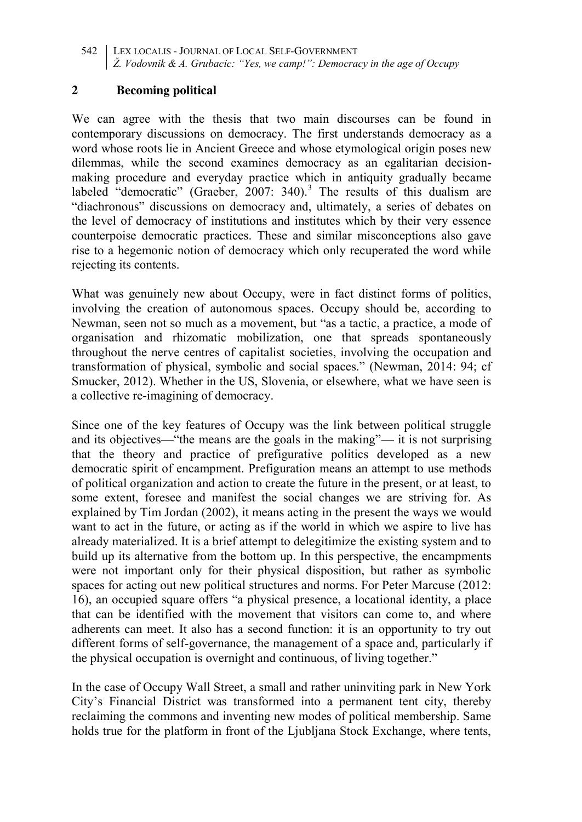#### **2 Becoming political**

We can agree with the thesis that two main discourses can be found in contemporary discussions on democracy. The first understands democracy as a word whose roots lie in Ancient Greece and whose etymological origin poses new dilemmas, while the second examines democracy as an egalitarian decisionmaking procedure and everyday practice which in antiquity gradually became labeled "democratic" (Graeber, 2007: 340).<sup>3</sup> The results of this dualism are "diachronous" discussions on democracy and, ultimately, a series of debates on the level of democracy of institutions and institutes which by their very essence counterpoise democratic practices. These and similar misconceptions also gave rise to a hegemonic notion of democracy which only recuperated the word while rejecting its contents.

What was genuinely new about Occupy, were in fact distinct forms of politics, involving the creation of autonomous spaces. Occupy should be, according to Newman, seen not so much as a movement, but "as a tactic, a practice, a mode of organisation and rhizomatic mobilization, one that spreads spontaneously throughout the nerve centres of capitalist societies, involving the occupation and transformation of physical, symbolic and social spaces." (Newman, 2014: 94; cf Smucker, 2012). Whether in the US, Slovenia, or elsewhere, what we have seen is a collective re-imagining of democracy.

Since one of the key features of Occupy was the link between political struggle and its objectives—"the means are the goals in the making"— it is not surprising that the theory and practice of prefigurative politics developed as a new democratic spirit of encampment. Prefiguration means an attempt to use methods of political organization and action to create the future in the present, or at least, to some extent, foresee and manifest the social changes we are striving for. As explained by Tim Jordan (2002), it means acting in the present the ways we would want to act in the future, or acting as if the world in which we aspire to live has already materialized. It is a brief attempt to delegitimize the existing system and to build up its alternative from the bottom up. In this perspective, the encampments were not important only for their physical disposition, but rather as symbolic spaces for acting out new political structures and norms. For Peter Marcuse (2012: 16), an occupied square offers "a physical presence, a locational identity, a place that can be identified with the movement that visitors can come to, and where adherents can meet. It also has a second function: it is an opportunity to try out different forms of self-governance, the management of a space and, particularly if the physical occupation is overnight and continuous, of living together."

In the case of Occupy Wall Street, a small and rather uninviting park in New York City's Financial District was transformed into a permanent tent city, thereby reclaiming the commons and inventing new modes of political membership. Same holds true for the platform in front of the Ljubljana Stock Exchange, where tents,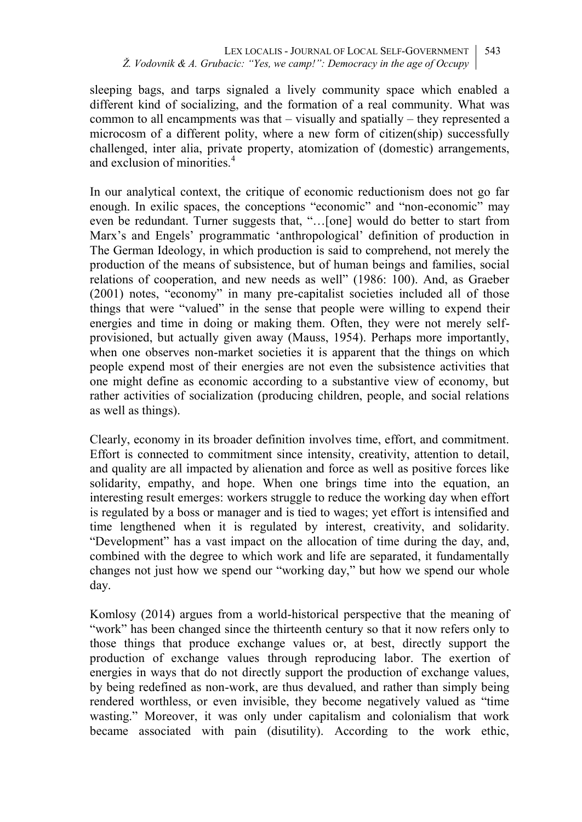sleeping bags, and tarps signaled a lively community space which enabled a different kind of socializing, and the formation of a real community. What was common to all encampments was that – visually and spatially – they represented a microcosm of a different polity, where a new form of citizen(ship) successfully challenged, inter alia, private property, atomization of (domestic) arrangements, and exclusion of minorities.<sup>4</sup>

In our analytical context, the critique of economic reductionism does not go far enough. In exilic spaces, the conceptions "economic" and "non-economic" may even be redundant. Turner suggests that, "…[one] would do better to start from Marx's and Engels' programmatic 'anthropological' definition of production in The German Ideology, in which production is said to comprehend, not merely the production of the means of subsistence, but of human beings and families, social relations of cooperation, and new needs as well" (1986: 100). And, as Graeber (2001) notes, "economy" in many pre-capitalist societies included all of those things that were "valued" in the sense that people were willing to expend their energies and time in doing or making them. Often, they were not merely selfprovisioned, but actually given away (Mauss, 1954). Perhaps more importantly, when one observes non-market societies it is apparent that the things on which people expend most of their energies are not even the subsistence activities that one might define as economic according to a substantive view of economy, but rather activities of socialization (producing children, people, and social relations as well as things).

Clearly, economy in its broader definition involves time, effort, and commitment. Effort is connected to commitment since intensity, creativity, attention to detail, and quality are all impacted by alienation and force as well as positive forces like solidarity, empathy, and hope. When one brings time into the equation, an interesting result emerges: workers struggle to reduce the working day when effort is regulated by a boss or manager and is tied to wages; yet effort is intensified and time lengthened when it is regulated by interest, creativity, and solidarity. "Development" has a vast impact on the allocation of time during the day, and, combined with the degree to which work and life are separated, it fundamentally changes not just how we spend our "working day," but how we spend our whole day.

Komlosy (2014) argues from a world-historical perspective that the meaning of "work" has been changed since the thirteenth century so that it now refers only to those things that produce exchange values or, at best, directly support the production of exchange values through reproducing labor. The exertion of energies in ways that do not directly support the production of exchange values, by being redefined as non-work, are thus devalued, and rather than simply being rendered worthless, or even invisible, they become negatively valued as "time wasting." Moreover, it was only under capitalism and colonialism that work became associated with pain (disutility). According to the work ethic,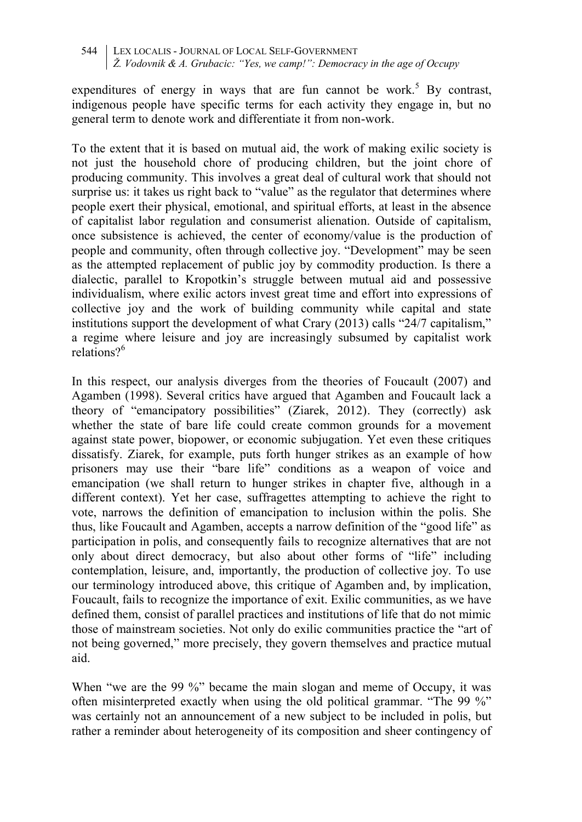expenditures of energy in ways that are fun cannot be work.<sup>5</sup> By contrast, indigenous people have specific terms for each activity they engage in, but no general term to denote work and differentiate it from non-work.

To the extent that it is based on mutual aid, the work of making exilic society is not just the household chore of producing children, but the joint chore of producing community. This involves a great deal of cultural work that should not surprise us: it takes us right back to "value" as the regulator that determines where people exert their physical, emotional, and spiritual efforts, at least in the absence of capitalist labor regulation and consumerist alienation. Outside of capitalism, once subsistence is achieved, the center of economy/value is the production of people and community, often through collective joy. "Development" may be seen as the attempted replacement of public joy by commodity production. Is there a dialectic, parallel to Kropotkin's struggle between mutual aid and possessive individualism, where exilic actors invest great time and effort into expressions of collective joy and the work of building community while capital and state institutions support the development of what Crary (2013) calls "24/7 capitalism," a regime where leisure and joy are increasingly subsumed by capitalist work relations? $6<sup>6</sup>$ 

In this respect, our analysis diverges from the theories of Foucault (2007) and Agamben (1998). Several critics have argued that Agamben and Foucault lack a theory of "emancipatory possibilities" (Ziarek, 2012). They (correctly) ask whether the state of bare life could create common grounds for a movement against state power, biopower, or economic subjugation. Yet even these critiques dissatisfy. Ziarek, for example, puts forth hunger strikes as an example of how prisoners may use their "bare life" conditions as a weapon of voice and emancipation (we shall return to hunger strikes in chapter five, although in a different context). Yet her case, suffragettes attempting to achieve the right to vote, narrows the definition of emancipation to inclusion within the polis. She thus, like Foucault and Agamben, accepts a narrow definition of the "good life" as participation in polis, and consequently fails to recognize alternatives that are not only about direct democracy, but also about other forms of "life" including contemplation, leisure, and, importantly, the production of collective joy. To use our terminology introduced above, this critique of Agamben and, by implication, Foucault, fails to recognize the importance of exit. Exilic communities, as we have defined them, consist of parallel practices and institutions of life that do not mimic those of mainstream societies. Not only do exilic communities practice the "art of not being governed," more precisely, they govern themselves and practice mutual aid.

When "we are the 99 %" became the main slogan and meme of Occupy, it was often misinterpreted exactly when using the old political grammar. "The 99 %" was certainly not an announcement of a new subject to be included in polis, but rather a reminder about heterogeneity of its composition and sheer contingency of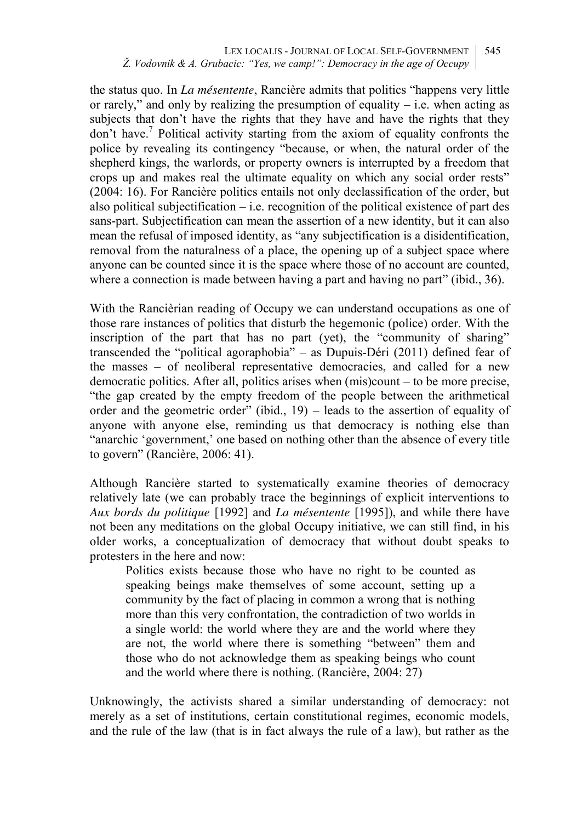the status quo. In *La mésentente*, Rancière admits that politics "happens very little or rarely," and only by realizing the presumption of equality – i.e. when acting as subjects that don't have the rights that they have and have the rights that they  $\gamma$  don't have.<sup>7</sup> Political activity starting from the axiom of equality confronts the police by revealing its contingency "because, or when, the natural order of the shepherd kings, the warlords, or property owners is interrupted by a freedom that crops up and makes real the ultimate equality on which any social order rests" (2004: 16). For Rancière politics entails not only declassification of the order, but also political subjectification  $-$  i.e. recognition of the political existence of part des sans-part. Subjectification can mean the assertion of a new identity, but it can also mean the refusal of imposed identity, as "any subjectification is a disidentification, removal from the naturalness of a place, the opening up of a subject space where anyone can be counted since it is the space where those of no account are counted, where a connection is made between having a part and having no part" (ibid., 36).

With the Rancièrian reading of Occupy we can understand occupations as one of those rare instances of politics that disturb the hegemonic (police) order. With the inscription of the part that has no part (yet), the "community of sharing" transcended the "political agoraphobia" – as Dupuis-Déri (2011) defined fear of the masses – of neoliberal representative democracies, and called for a new democratic politics. After all, politics arises when (mis)count – to be more precise, "the gap created by the empty freedom of the people between the arithmetical order and the geometric order" (ibid., 19) – leads to the assertion of equality of anyone with anyone else, reminding us that democracy is nothing else than "anarchic 'government,' one based on nothing other than the absence of every title to govern" (Rancière, 2006: 41).

Although Rancière started to systematically examine theories of democracy relatively late (we can probably trace the beginnings of explicit interventions to *Aux bords du politique* [1992] and *La mésentente* [1995]), and while there have not been any meditations on the global Occupy initiative, we can still find, in his older works, a conceptualization of democracy that without doubt speaks to protesters in the here and now:

Politics exists because those who have no right to be counted as speaking beings make themselves of some account, setting up a community by the fact of placing in common a wrong that is nothing more than this very confrontation, the contradiction of two worlds in a single world: the world where they are and the world where they are not, the world where there is something "between" them and those who do not acknowledge them as speaking beings who count and the world where there is nothing. (Rancière, 2004: 27)

Unknowingly, the activists shared a similar understanding of democracy: not merely as a set of institutions, certain constitutional regimes, economic models, and the rule of the law (that is in fact always the rule of a law), but rather as the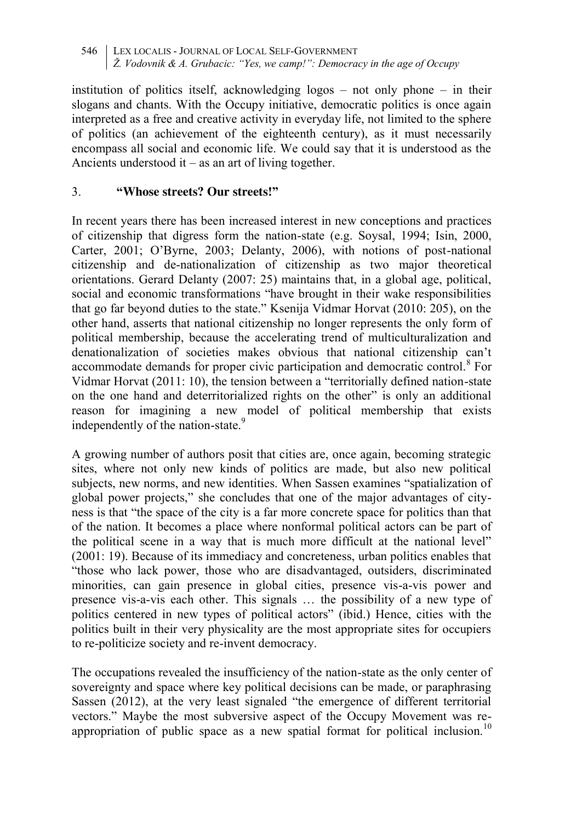institution of politics itself, acknowledging logos – not only phone – in their slogans and chants. With the Occupy initiative, democratic politics is once again interpreted as a free and creative activity in everyday life, not limited to the sphere of politics (an achievement of the eighteenth century), as it must necessarily encompass all social and economic life. We could say that it is understood as the Ancients understood it – as an art of living together.

# 3. **"Whose streets? Our streets!"**

In recent years there has been increased interest in new conceptions and practices of citizenship that digress form the nation-state (e.g. Soysal, 1994; Isin, 2000, Carter, 2001; O'Byrne, 2003; Delanty, 2006), with notions of post-national citizenship and de-nationalization of citizenship as two major theoretical orientations. Gerard Delanty (2007: 25) maintains that, in a global age, political, social and economic transformations "have brought in their wake responsibilities that go far beyond duties to the state." Ksenija Vidmar Horvat (2010: 205), on the other hand, asserts that national citizenship no longer represents the only form of political membership, because the accelerating trend of multiculturalization and denationalization of societies makes obvious that national citizenship can't accommodate demands for proper civic participation and democratic control.<sup>8</sup> For Vidmar Horvat (2011: 10), the tension between a "territorially defined nation-state on the one hand and deterritorialized rights on the other" is only an additional reason for imagining a new model of political membership that exists independently of the nation-state.<sup>9</sup>

A growing number of authors posit that cities are, once again, becoming strategic sites, where not only new kinds of politics are made, but also new political subjects, new norms, and new identities. When Sassen examines "spatialization of global power projects," she concludes that one of the major advantages of cityness is that "the space of the city is a far more concrete space for politics than that of the nation. It becomes a place where nonformal political actors can be part of the political scene in a way that is much more difficult at the national level" (2001: 19). Because of its immediacy and concreteness, urban politics enables that "those who lack power, those who are disadvantaged, outsiders, discriminated minorities, can gain presence in global cities, presence vis-a-vis power and presence vis-a-vis each other. This signals … the possibility of a new type of politics centered in new types of political actors" (ibid.) Hence, cities with the politics built in their very physicality are the most appropriate sites for occupiers to re-politicize society and re-invent democracy.

The occupations revealed the insufficiency of the nation-state as the only center of sovereignty and space where key political decisions can be made, or paraphrasing Sassen (2012), at the very least signaled "the emergence of different territorial vectors." Maybe the most subversive aspect of the Occupy Movement was reappropriation of public space as a new spatial format for political inclusion.<sup>10</sup>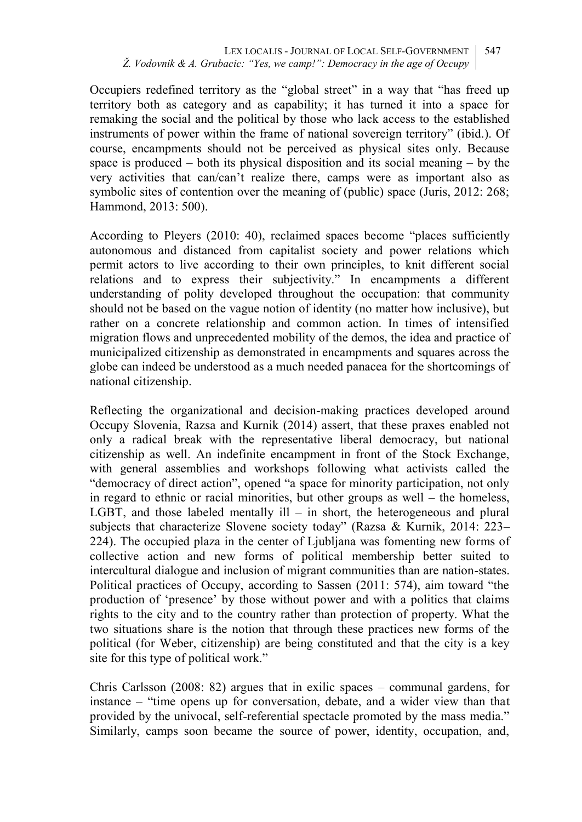Occupiers redefined territory as the "global street" in a way that "has freed up territory both as category and as capability; it has turned it into a space for remaking the social and the political by those who lack access to the established instruments of power within the frame of national sovereign territory" (ibid.). Of course, encampments should not be perceived as physical sites only. Because space is produced – both its physical disposition and its social meaning – by the very activities that can/can't realize there, camps were as important also as symbolic sites of contention over the meaning of (public) space (Juris, 2012: 268; Hammond, 2013: 500).

According to Pleyers (2010: 40), reclaimed spaces become "places sufficiently autonomous and distanced from capitalist society and power relations which permit actors to live according to their own principles, to knit different social relations and to express their subjectivity." In encampments a different understanding of polity developed throughout the occupation: that community should not be based on the vague notion of identity (no matter how inclusive), but rather on a concrete relationship and common action. In times of intensified migration flows and unprecedented mobility of the demos, the idea and practice of municipalized citizenship as demonstrated in encampments and squares across the globe can indeed be understood as a much needed panacea for the shortcomings of national citizenship.

Reflecting the organizational and decision-making practices developed around Occupy Slovenia, Razsa and Kurnik (2014) assert, that these praxes enabled not only a radical break with the representative liberal democracy, but national citizenship as well. An indefinite encampment in front of the Stock Exchange, with general assemblies and workshops following what activists called the "democracy of direct action", opened "a space for minority participation, not only in regard to ethnic or racial minorities, but other groups as well – the homeless, LGBT, and those labeled mentally ill – in short, the heterogeneous and plural subjects that characterize Slovene society today" (Razsa & Kurnik, 2014: 223– 224). The occupied plaza in the center of Ljubljana was fomenting new forms of collective action and new forms of political membership better suited to intercultural dialogue and inclusion of migrant communities than are nation-states. Political practices of Occupy, according to Sassen (2011: 574), aim toward "the production of 'presence' by those without power and with a politics that claims rights to the city and to the country rather than protection of property. What the two situations share is the notion that through these practices new forms of the political (for Weber, citizenship) are being constituted and that the city is a key site for this type of political work."

Chris Carlsson (2008: 82) argues that in exilic spaces – communal gardens, for instance – "time opens up for conversation, debate, and a wider view than that provided by the univocal, self-referential spectacle promoted by the mass media." Similarly, camps soon became the source of power, identity, occupation, and,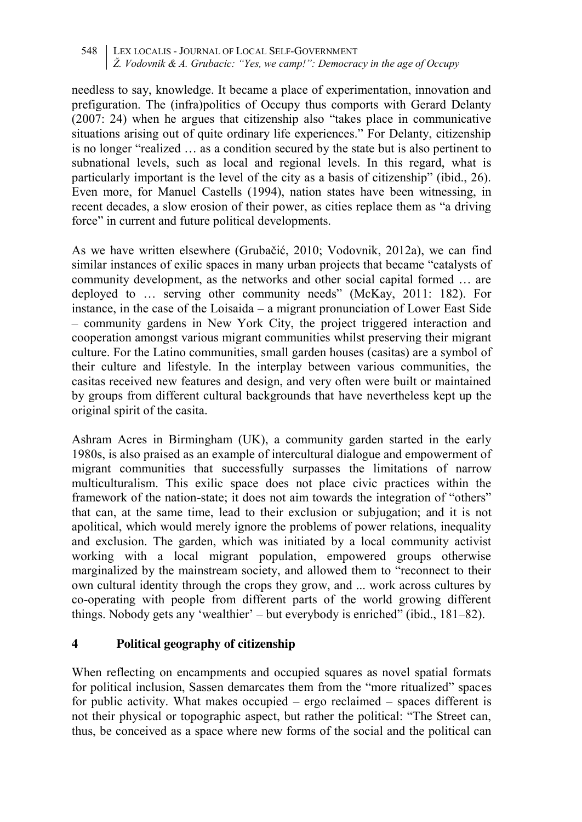#### 548 | LEX LOCALIS - JOURNAL OF LOCAL SELF-GOVERNMENT *Ž. Vodovnik & A. Grubacic: "Yes, we camp!": Democracy in the age of Occupy*

needless to say, knowledge. It became a place of experimentation, innovation and prefiguration. The (infra)politics of Occupy thus comports with Gerard Delanty (2007: 24) when he argues that citizenship also "takes place in communicative situations arising out of quite ordinary life experiences." For Delanty, citizenship is no longer "realized … as a condition secured by the state but is also pertinent to subnational levels, such as local and regional levels. In this regard, what is particularly important is the level of the city as a basis of citizenship" (ibid., 26). Even more, for Manuel Castells (1994), nation states have been witnessing, in recent decades, a slow erosion of their power, as cities replace them as "a driving force" in current and future political developments.

As we have written elsewhere (Grubačić, 2010; Vodovnik, 2012a), we can find similar instances of exilic spaces in many urban projects that became "catalysts of community development, as the networks and other social capital formed … are deployed to … serving other community needs" (McKay, 2011: 182). For instance, in the case of the Loisaida – a migrant pronunciation of Lower East Side – community gardens in New York City, the project triggered interaction and cooperation amongst various migrant communities whilst preserving their migrant culture. For the Latino communities, small garden houses (casitas) are a symbol of their culture and lifestyle. In the interplay between various communities, the casitas received new features and design, and very often were built or maintained by groups from different cultural backgrounds that have nevertheless kept up the original spirit of the casita.

Ashram Acres in Birmingham (UK), a community garden started in the early 1980s, is also praised as an example of intercultural dialogue and empowerment of migrant communities that successfully surpasses the limitations of narrow multiculturalism. This exilic space does not place civic practices within the framework of the nation-state; it does not aim towards the integration of "others" that can, at the same time, lead to their exclusion or subjugation; and it is not apolitical, which would merely ignore the problems of power relations, inequality and exclusion. The garden, which was initiated by a local community activist working with a local migrant population, empowered groups otherwise marginalized by the mainstream society, and allowed them to "reconnect to their own cultural identity through the crops they grow, and ... work across cultures by co-operating with people from different parts of the world growing different things. Nobody gets any 'wealthier' – but everybody is enriched" (ibid., 181–82).

#### **4 Political geography of citizenship**

When reflecting on encampments and occupied squares as novel spatial formats for political inclusion, Sassen demarcates them from the "more ritualized" spaces for public activity. What makes occupied – ergo reclaimed – spaces different is not their physical or topographic aspect, but rather the political: "The Street can, thus, be conceived as a space where new forms of the social and the political can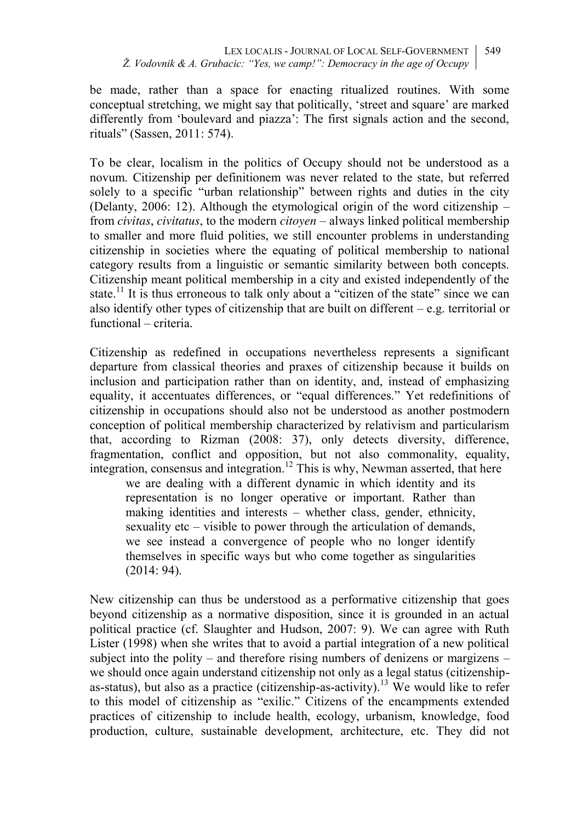be made, rather than a space for enacting ritualized routines. With some conceptual stretching, we might say that politically, 'street and square' are marked differently from 'boulevard and piazza': The first signals action and the second, rituals" (Sassen, 2011: 574).

To be clear, localism in the politics of Occupy should not be understood as a novum. Citizenship per definitionem was never related to the state, but referred solely to a specific "urban relationship" between rights and duties in the city (Delanty, 2006: 12). Although the etymological origin of the word citizenship – from *civitas*, *civitatus*, to the modern *citoyen* – always linked political membership to smaller and more fluid polities, we still encounter problems in understanding citizenship in societies where the equating of political membership to national category results from a linguistic or semantic similarity between both concepts. Citizenship meant political membership in a city and existed independently of the state.<sup>11</sup> It is thus erroneous to talk only about a "citizen of the state" since we can also identify other types of citizenship that are built on different – e.g. territorial or functional – criteria.

Citizenship as redefined in occupations nevertheless represents a significant departure from classical theories and praxes of citizenship because it builds on inclusion and participation rather than on identity, and, instead of emphasizing equality, it accentuates differences, or "equal differences." Yet redefinitions of citizenship in occupations should also not be understood as another postmodern conception of political membership characterized by relativism and particularism that, according to Rizman (2008: 37), only detects diversity, difference, fragmentation, conflict and opposition, but not also commonality, equality, integration, consensus and integration.<sup>12</sup> This is why, Newman asserted, that here

we are dealing with a different dynamic in which identity and its representation is no longer operative or important. Rather than making identities and interests – whether class, gender, ethnicity, sexuality etc – visible to power through the articulation of demands, we see instead a convergence of people who no longer identify themselves in specific ways but who come together as singularities (2014: 94).

New citizenship can thus be understood as a performative citizenship that goes beyond citizenship as a normative disposition, since it is grounded in an actual political practice (cf. Slaughter and Hudson, 2007: 9). We can agree with Ruth Lister (1998) when she writes that to avoid a partial integration of a new political subject into the polity – and therefore rising numbers of denizens or margizens – we should once again understand citizenship not only as a legal status (citizenshipas-status), but also as a practice (citizenship-as-activity).<sup>13</sup> We would like to refer to this model of citizenship as "exilic." Citizens of the encampments extended practices of citizenship to include health, ecology, urbanism, knowledge, food production, culture, sustainable development, architecture, etc. They did not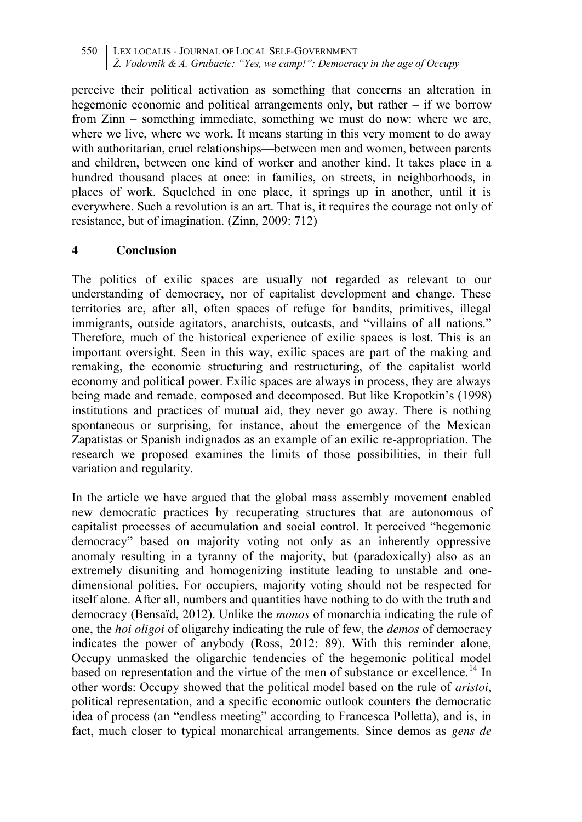550 LEX LOCALIS - JOURNAL OF LOCAL SELF-GOVERNMENT *Ž. Vodovnik & A. Grubacic: "Yes, we camp!": Democracy in the age of Occupy*

perceive their political activation as something that concerns an alteration in hegemonic economic and political arrangements only, but rather – if we borrow from Zinn – something immediate, something we must do now: where we are, where we live, where we work. It means starting in this very moment to do away with authoritarian, cruel relationships—between men and women, between parents and children, between one kind of worker and another kind. It takes place in a hundred thousand places at once: in families, on streets, in neighborhoods, in places of work. Squelched in one place, it springs up in another, until it is everywhere. Such a revolution is an art. That is, it requires the courage not only of resistance, but of imagination. (Zinn, 2009: 712)

#### **4 Conclusion**

The politics of exilic spaces are usually not regarded as relevant to our understanding of democracy, nor of capitalist development and change. These territories are, after all, often spaces of refuge for bandits, primitives, illegal immigrants, outside agitators, anarchists, outcasts, and "villains of all nations." Therefore, much of the historical experience of exilic spaces is lost. This is an important oversight. Seen in this way, exilic spaces are part of the making and remaking, the economic structuring and restructuring, of the capitalist world economy and political power. Exilic spaces are always in process, they are always being made and remade, composed and decomposed. But like Kropotkin's (1998) institutions and practices of mutual aid, they never go away. There is nothing spontaneous or surprising, for instance, about the emergence of the Mexican Zapatistas or Spanish indignados as an example of an exilic re-appropriation. The research we proposed examines the limits of those possibilities, in their full variation and regularity.

In the article we have argued that the global mass assembly movement enabled new democratic practices by recuperating structures that are autonomous of capitalist processes of accumulation and social control. It perceived "hegemonic democracy" based on majority voting not only as an inherently oppressive anomaly resulting in a tyranny of the majority, but (paradoxically) also as an extremely disuniting and homogenizing institute leading to unstable and onedimensional polities. For occupiers, majority voting should not be respected for itself alone. After all, numbers and quantities have nothing to do with the truth and democracy (Bensaïd, 2012). Unlike the *monos* of monarchia indicating the rule of one, the *hoi oligoi* of oligarchy indicating the rule of few, the *demos* of democracy indicates the power of anybody (Ross, 2012: 89). With this reminder alone, Occupy unmasked the oligarchic tendencies of the hegemonic political model based on representation and the virtue of the men of substance or excellence.<sup>14</sup> In other words: Occupy showed that the political model based on the rule of *aristoi*, political representation, and a specific economic outlook counters the democratic idea of process (an "endless meeting" according to Francesca Polletta), and is, in fact, much closer to typical monarchical arrangements. Since demos as *gens de*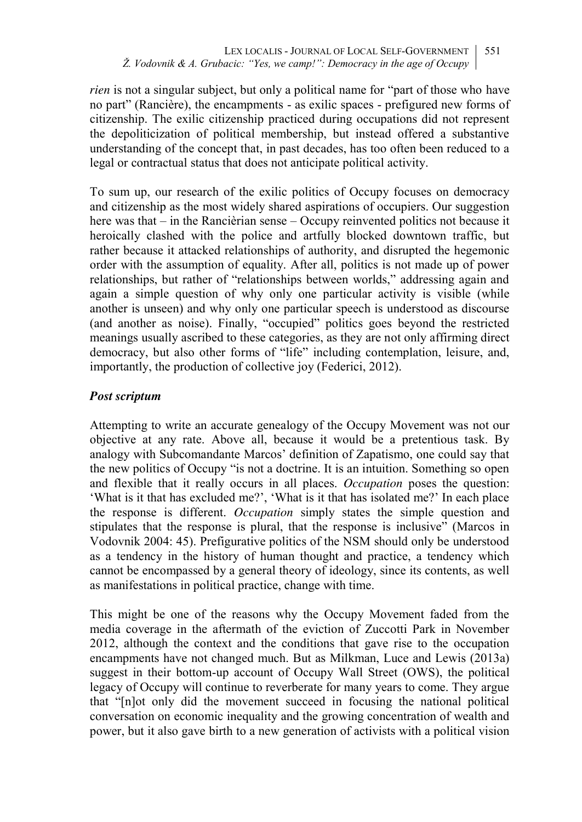*rien* is not a singular subject, but only a political name for "part of those who have no part" (Rancière), the encampments - as exilic spaces - prefigured new forms of citizenship. The exilic citizenship practiced during occupations did not represent the depoliticization of political membership, but instead offered a substantive understanding of the concept that, in past decades, has too often been reduced to a legal or contractual status that does not anticipate political activity.

To sum up, our research of the exilic politics of Occupy focuses on democracy and citizenship as the most widely shared aspirations of occupiers. Our suggestion here was that – in the Rancièrian sense – Occupy reinvented politics not because it heroically clashed with the police and artfully blocked downtown traffic, but rather because it attacked relationships of authority, and disrupted the hegemonic order with the assumption of equality. After all, politics is not made up of power relationships, but rather of "relationships between worlds," addressing again and again a simple question of why only one particular activity is visible (while another is unseen) and why only one particular speech is understood as discourse (and another as noise). Finally, "occupied" politics goes beyond the restricted meanings usually ascribed to these categories, as they are not only affirming direct democracy, but also other forms of "life" including contemplation, leisure, and, importantly, the production of collective joy (Federici, 2012).

# *Post scriptum*

Attempting to write an accurate genealogy of the Occupy Movement was not our objective at any rate. Above all, because it would be a pretentious task. By analogy with Subcomandante Marcos' definition of Zapatismo, one could say that the new politics of Occupy "is not a doctrine. It is an intuition. Something so open and flexible that it really occurs in all places. *Occupation* poses the question: 'What is it that has excluded me?', 'What is it that has isolated me?' In each place the response is different. *Occupation* simply states the simple question and stipulates that the response is plural, that the response is inclusive" (Marcos in Vodovnik 2004: 45). Prefigurative politics of the NSM should only be understood as a tendency in the history of human thought and practice, a tendency which cannot be encompassed by a general theory of ideology, since its contents, as well as manifestations in political practice, change with time.

This might be one of the reasons why the Occupy Movement faded from the media coverage in the aftermath of the eviction of Zuccotti Park in November 2012, although the context and the conditions that gave rise to the occupation encampments have not changed much. But as Milkman, Luce and Lewis (2013a) suggest in their bottom-up account of Occupy Wall Street (OWS), the political legacy of Occupy will continue to reverberate for many years to come. They argue that "[n]ot only did the movement succeed in focusing the national political conversation on economic inequality and the growing concentration of wealth and power, but it also gave birth to a new generation of activists with a political vision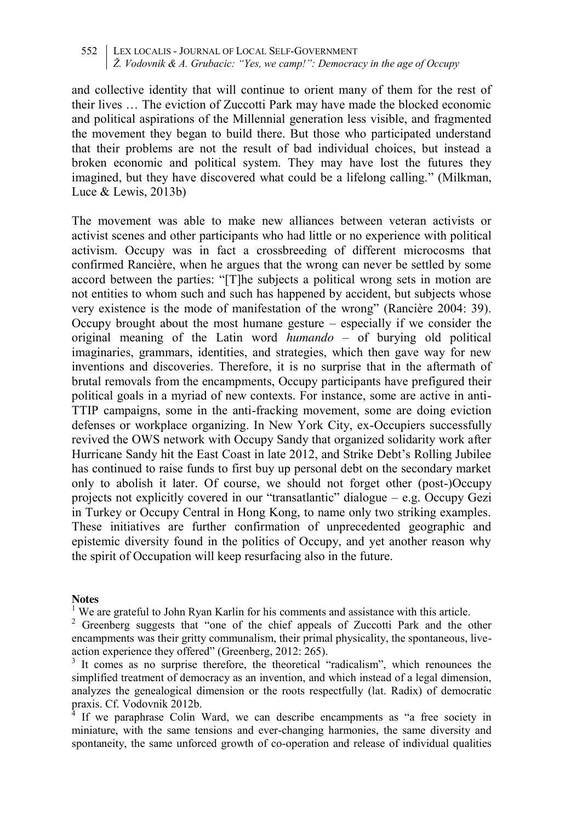552 | LEX LOCALIS - JOURNAL OF LOCAL SELF-GOVERNMENT *Ž. Vodovnik & A. Grubacic: "Yes, we camp!": Democracy in the age of Occupy*

and collective identity that will continue to orient many of them for the rest of their lives … The eviction of Zuccotti Park may have made the blocked economic and political aspirations of the Millennial generation less visible, and fragmented the movement they began to build there. But those who participated understand that their problems are not the result of bad individual choices, but instead a broken economic and political system. They may have lost the futures they imagined, but they have discovered what could be a lifelong calling." (Milkman, Luce  $&$  Lewis, 2013b)

The movement was able to make new alliances between veteran activists or activist scenes and other participants who had little or no experience with political activism. Occupy was in fact a crossbreeding of different microcosms that confirmed Rancière, when he argues that the wrong can never be settled by some accord between the parties: "[T]he subjects a political wrong sets in motion are not entities to whom such and such has happened by accident, but subjects whose very existence is the mode of manifestation of the wrong" (Rancière 2004: 39). Occupy brought about the most humane gesture – especially if we consider the original meaning of the Latin word *humando* – of burying old political imaginaries, grammars, identities, and strategies, which then gave way for new inventions and discoveries. Therefore, it is no surprise that in the aftermath of brutal removals from the encampments, Occupy participants have prefigured their political goals in a myriad of new contexts. For instance, some are active in anti-TTIP campaigns, some in the anti-fracking movement, some are doing eviction defenses or workplace organizing. In New York City, ex-Occupiers successfully revived the OWS network with Occupy Sandy that organized solidarity work after Hurricane Sandy hit the East Coast in late 2012, and Strike Debt's Rolling Jubilee has continued to raise funds to first buy up personal debt on the secondary market only to abolish it later. Of course, we should not forget other (post-)Occupy projects not explicitly covered in our "transatlantic" dialogue – e.g. Occupy Gezi in Turkey or Occupy Central in Hong Kong, to name only two striking examples. These initiatives are further confirmation of unprecedented geographic and epistemic diversity found in the politics of Occupy, and yet another reason why the spirit of Occupation will keep resurfacing also in the future.

Notes<br><sup>1</sup> We are grateful to John Ryan Karlin for his comments and assistance with this article.

<sup>2</sup> Greenberg suggests that "one of the chief appeals of Zuccotti Park and the other encampments was their gritty communalism, their primal physicality, the spontaneous, live-<br>action experience they offered" (Greenberg, 2012: 265).

 $3$  It comes as no surprise therefore, the theoretical "radicalism", which renounces the simplified treatment of democracy as an invention, and which instead of a legal dimension, analyzes the genealogical dimension or the roots respectfully (lat. Radix) of democratic praxis. Cf. Vodovnik 2012b.

If we paraphrase Colin Ward, we can describe encampments as "a free society in miniature, with the same tensions and ever-changing harmonies, the same diversity and spontaneity, the same unforced growth of co-operation and release of individual qualities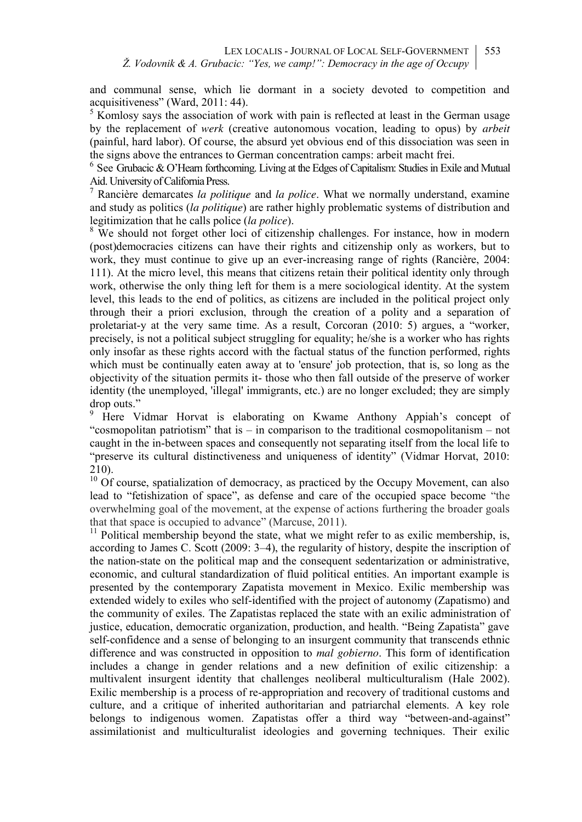and communal sense, which lie dormant in a society devoted to competition and acquisitiveness" (Ward, 2011: 44).

<sup>5</sup> Komlosy says the association of work with pain is reflected at least in the German usage by the replacement of *werk* (creative autonomous vocation, leading to opus) by *arbeit* (painful, hard labor). Of course, the absurd yet obvious end of this dissociation was seen in the signs above the entrances to German concentration camps: arbeit macht frei.<br><sup>6</sup> See Grubacic & O'Hearn forthcoming. Living at the Edges of Capitalism: Studies in Exile and Mutual

Aid. University of California Press.

<sup>7</sup> Rancière demarcates *la politique* and *la police*. What we normally understand, examine and study as politics (*la politique*) are rather highly problematic systems of distribution and legitimization that he calls police (*la police*).

<sup>8</sup> We should not forget other loci of citizenship challenges. For instance, how in modern (post)democracies citizens can have their rights and citizenship only as workers, but to work, they must continue to give up an ever-increasing range of rights (Rancière, 2004: 111). At the micro level, this means that citizens retain their political identity only through work, otherwise the only thing left for them is a mere sociological identity. At the system level, this leads to the end of politics, as citizens are included in the political project only through their a priori exclusion, through the creation of a polity and a separation of proletariat-y at the very same time. As a result, Corcoran (2010: 5) argues, a "worker, precisely, is not a political subject struggling for equality; he/she is a worker who has rights only insofar as these rights accord with the factual status of the function performed, rights which must be continually eaten away at to 'ensure' job protection, that is, so long as the objectivity of the situation permits it- those who then fall outside of the preserve of worker identity (the unemployed, 'illegal' immigrants, etc.) are no longer excluded; they are simply drop outs."

<sup>9</sup> Here Vidmar Horvat is elaborating on Kwame Anthony Appiah's concept of "cosmopolitan patriotism" that is – in comparison to the traditional cosmopolitanism – not caught in the in-between spaces and consequently not separating itself from the local life to "preserve its cultural distinctiveness and uniqueness of identity" (Vidmar Horvat, 2010: 210).

 $10$  Of course, spatialization of democracy, as practiced by the Occupy Movement, can also lead to "fetishization of space", as defense and care of the occupied space become "the overwhelming goal of the movement, at the expense of actions furthering the broader goals that that space is occupied to advance" (Marcuse, 2011).

<sup>11</sup> Political membership beyond the state, what we might refer to as exilic membership, is, according to James C. Scott (2009: 3–4), the regularity of history, despite the inscription of the nation-state on the political map and the consequent sedentarization or administrative, economic, and cultural standardization of fluid political entities. An important example is presented by the contemporary Zapatista movement in Mexico. Exilic membership was extended widely to exiles who self-identified with the project of autonomy (Zapatismo) and the community of exiles. The Zapatistas replaced the state with an exilic administration of justice, education, democratic organization, production, and health. "Being Zapatista" gave self-confidence and a sense of belonging to an insurgent community that transcends ethnic difference and was constructed in opposition to *mal gobierno*. This form of identification includes a change in gender relations and a new definition of exilic citizenship: a multivalent insurgent identity that challenges neoliberal multiculturalism (Hale 2002). Exilic membership is a process of re-appropriation and recovery of traditional customs and culture, and a critique of inherited authoritarian and patriarchal elements. A key role belongs to indigenous women. Zapatistas offer a third way "between-and-against" assimilationist and multiculturalist ideologies and governing techniques. Their exilic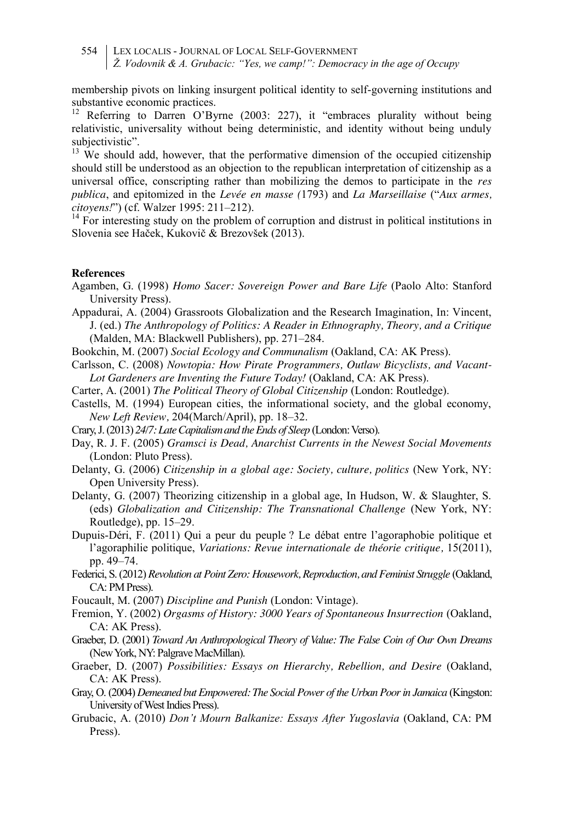554 LEX LOCALIS - JOURNAL OF LOCAL SELF-GOVERNMENT *Ž. Vodovnik & A. Grubacic: "Yes, we camp!": Democracy in the age of Occupy*

membership pivots on linking insurgent political identity to self-governing institutions and substantive economic practices.

<sup>12</sup> Referring to Darren O'Byrne (2003: 227), it "embraces plurality without being relativistic, universality without being deterministic, and identity without being unduly subjectivistic".

<sup>13</sup> We should add, however, that the performative dimension of the occupied citizenship should still be understood as an objection to the republican interpretation of citizenship as a universal office, conscripting rather than mobilizing the demos to participate in the *res publica*, and epitomized in the *Levée en masse (*1793) and *La Marseillaise* ("*Aux armes,* 

<sup>14</sup> For interesting study on the problem of corruption and distrust in political institutions in Slovenia see Haček, Kukovič & Brezovšek (2013).

#### **References**

- Agamben, G. (1998) *Homo Sacer: Sovereign Power and Bare Life* (Paolo Alto: Stanford University Press).
- Appadurai, A. (2004) Grassroots Globalization and the Research Imagination, In: Vincent, J. (ed.) *The Anthropology of Politics: A Reader in Ethnography, Theory, and a Critique* (Malden, MA: Blackwell Publishers), pp. 271–284.

Bookchin, M. (2007) *Social Ecology and Communalism* (Oakland, CA: AK Press).

- Carlsson, C. (2008) *Nowtopia: How Pirate Programmers, Outlaw Bicyclists, and Vacant-Lot Gardeners are Inventing the Future Today!* (Oakland, CA: AK Press).
- Carter, A. (2001) *The Political Theory of Global Citizenship* (London: Routledge).
- Castells, M. (1994) European cities, the informational society, and the global economy, *New Left Review,* 204(March/April), pp. 18–32.

Crary, J. (2013) *24/7: Late Capitalism and the Ends of Sleep* (London: Verso).

- Day, R. J. F. (2005) *Gramsci is Dead, Anarchist Currents in the Newest Social Movements* (London: Pluto Press).
- Delanty, G. (2006) *Citizenship in a global age: Society, culture, politics* (New York, NY: Open University Press).
- Delanty, G. (2007) Theorizing citizenship in a global age, In Hudson, W. & Slaughter, S. (eds) *Globalization and Citizenship: The Transnational Challenge* (New York, NY: Routledge), pp. 15–29.
- Dupuis-Déri, F. (2011) Qui a peur du peuple ? Le débat entre l'agoraphobie politique et l'agoraphilie politique, *Variations: Revue internationale de théorie critique,* 15(2011), pp. 49–74.
- Federici, S.(2012) *Revolution at Point Zero: Housework, Reproduction, and Feminist Struggle* (Oakland, CA: PM Press).
- Foucault, M. (2007) *Discipline and Punish* (London: Vintage).
- Fremion, Y. (2002) *Orgasms of History: 3000 Years of Spontaneous Insurrection* (Oakland, CA: AK Press).
- Graeber, D. (2001) *Toward An Anthropological Theory of Value: The False Coin of Our Own Dreams* (New York, NY: Palgrave MacMillan).
- Graeber, D. (2007) *Possibilities: Essays on Hierarchy, Rebellion, and Desire* (Oakland, CA: AK Press).
- Gray, O. (2004) *Demeaned but Empowered: The Social Power of the Urban Poor in Jamaica* (Kingston: University of West Indies Press).
- Grubacic, A. (2010) *Don't Mourn Balkanize: Essays After Yugoslavia* (Oakland, CA: PM Press).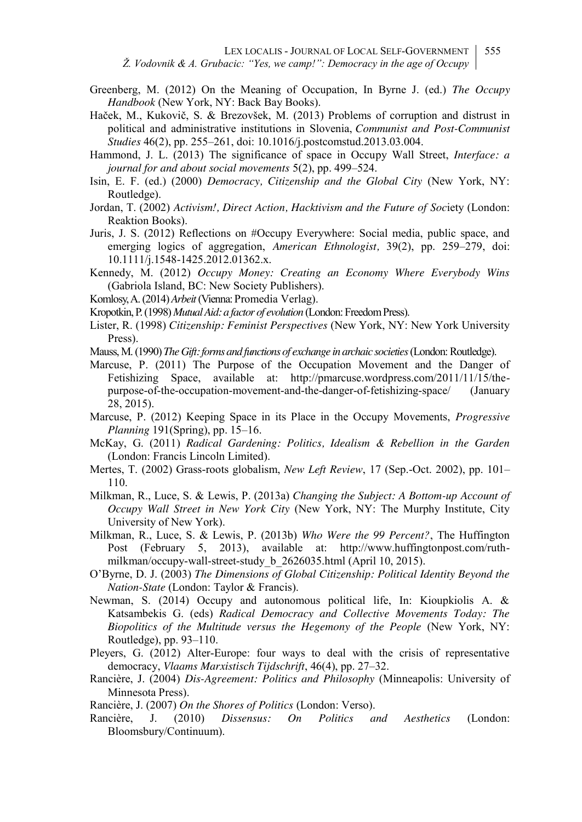- Greenberg, M. (2012) On the Meaning of Occupation, In Byrne J. (ed.) *The Occupy Handbook* (New York, NY: Back Bay Books).
- Haček, M., Kukovič, S. & Brezovšek, M. (2013) Problems of corruption and distrust in political and administrative institutions in Slovenia, *Communist and Post-Communist Studies* 46(2), pp. 255–261, doi: 10.1016/j.postcomstud.2013.03.004.
- Hammond, J. L. (2013) The significance of space in Occupy Wall Street, *Interface: a journal for and about social movements* 5(2), pp. 499–524.
- Isin, E. F. (ed.) (2000) *Democracy, Citizenship and the Global City* (New York, NY: Routledge).
- Jordan, T. (2002) *Activism!, Direct Action, Hacktivism and the Future of Soc*iety (London: Reaktion Books).
- Juris, J. S. (2012) Reflections on #Occupy Everywhere: Social media, public space, and emerging logics of aggregation, *American Ethnologist,* 39(2), pp. 259–279, doi: 10.1111/j.1548-1425.2012.01362.x.
- Kennedy, M. (2012) *Occupy Money: Creating an Economy Where Everybody Wins* (Gabriola Island, BC: New Society Publishers).
- Komlosy, A. (2014) *Arbeit*(Vienna: Promedia Verlag).
- Kropotkin, P. (1998) *Mutual Aid: a factor of evolution* (London: Freedom Press).
- Lister, R. (1998) *Citizenship: Feminist Perspectives* (New York, NY: New York University Press).
- Mauss, M. (1990) *The Gift: forms and functions of exchange in archaic societies*(London: Routledge).
- Marcuse, P. (2011) The Purpose of the Occupation Movement and the Danger of Fetishizing Space, available at: http://pmarcuse.wordpress.com/2011/11/15/thepurpose-of-the-occupation-movement-and-the-danger-of-fetishizing-space/ (January 28, 2015).
- Marcuse, P. (2012) Keeping Space in its Place in the Occupy Movements, *Progressive Planning* 191(Spring), pp. 15–16.
- McKay, G. (2011) *Radical Gardening: Politics, Idealism & Rebellion in the Garden* (London: Francis Lincoln Limited).
- Mertes, T. (2002) Grass-roots globalism, *New Left Review*, 17 (Sep.-Oct. 2002), pp. 101– 110.
- Milkman, R., Luce, S. & Lewis, P. (2013a) *Changing the Subject: A Bottom-up Account of Occupy Wall Street in New York City* (New York, NY: The Murphy Institute, City University of New York).
- Milkman, R., Luce, S. & Lewis, P. (2013b) *Who Were the 99 Percent?*, The Huffington Post (February 5, 2013), available at: http://www.huffingtonpost.com/ruthmilkman/occupy-wall-street-study b 2626035.html (April 10, 2015).
- O'Byrne, D. J. (2003) *The Dimensions of Global Citizenship: Political Identity Beyond the Nation-State* (London: Taylor & Francis).
- Newman, S. (2014) Occupy and autonomous political life, In: Kioupkiolis A. & Katsambekis G. (eds) *Radical Democracy and Collective Movements Today: The Biopolitics of the Multitude versus the Hegemony of the People* (New York, NY: Routledge), pp. 93–110.
- Pleyers, G. (2012) Alter-Europe: four ways to deal with the crisis of representative democracy, *Vlaams Marxistisch Tijdschrift*, 46(4), pp. 27–32.
- Rancière, J. (2004) *Dis-Agreement: Politics and Philosophy* (Minneapolis: University of Minnesota Press).
- Rancière, J. (2007) *On the Shores of Politics* (London: Verso).
- Rancière, J. (2010) *Dissensus: On Politics and Aesthetics* (London: Bloomsbury/Continuum).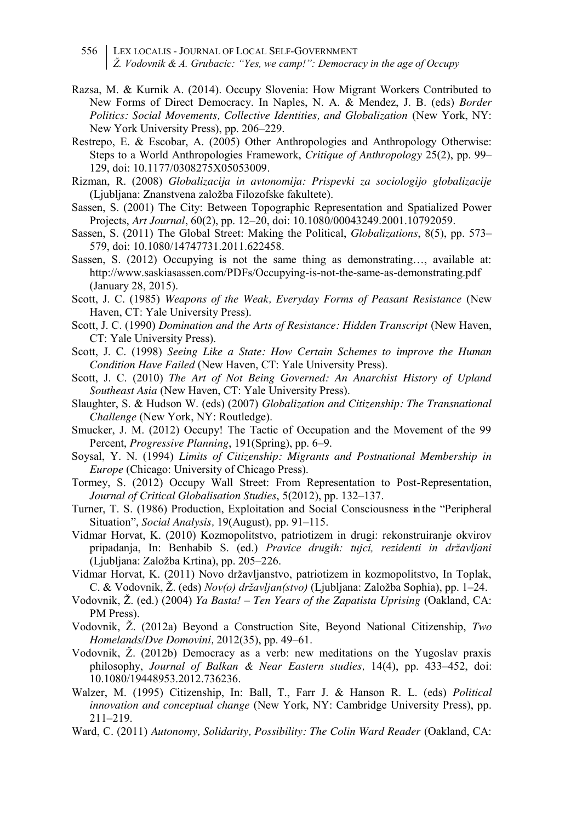- 556 | LEX LOCALIS JOURNAL OF LOCAL SELF-GOVERNMENT *Ž. Vodovnik & A. Grubacic: "Yes, we camp!": Democracy in the age of Occupy*
- Razsa, M. & Kurnik A. (2014). Occupy Slovenia: How Migrant Workers Contributed to New Forms of Direct Democracy. In Naples, N. A. & Mendez, J. B. (eds) *Border Politics: Social Movements, Collective Identities, and Globalization* (New York, NY: New York University Press), pp. 206–229.
- Restrepo, E. & Escobar, A. (2005) Other Anthropologies and Anthropology Otherwise: Steps to a World Anthropologies Framework, *Critique of Anthropology* 25(2), pp. 99– 129, doi: 10.1177/0308275X05053009.
- Rizman, R. (2008) *Globalizacija in avtonomija: Prispevki za sociologijo globalizacije* (Ljubljana: Znanstvena založba Filozofske fakultete).
- Sassen, S. (2001) The City: Between Topographic Representation and Spatialized Power Projects, *Art Journal*, 60(2), pp. 12–20, doi: 10.1080/00043249.2001.10792059.
- Sassen, S. (2011) The Global Street: Making the Political, *Globalizations*, 8(5), pp. 573– 579, doi: 10.1080/14747731.2011.622458.
- Sassen, S. (2012) Occupying is not the same thing as demonstrating…, available at: http://www.saskiasassen.com/PDFs/Occupying-is-not-the-same-as-demonstrating.pdf (January 28, 2015).
- Scott, J. C. (1985) *Weapons of the Weak, Everyday Forms of Peasant Resistance* (New Haven, CT: Yale University Press).
- Scott, J. C. (1990) *Domination and the Arts of Resistance: Hidden Transcript* (New Haven, CT: Yale University Press).
- Scott, J. C. (1998) *Seeing Like a State: How Certain Schemes to improve the Human Condition Have Failed* (New Haven, CT: Yale University Press).
- Scott, J. C. (2010) *The Art of Not Being Governed: An Anarchist History of Upland Southeast Asia* (New Haven, CT: Yale University Press).
- Slaughter, S. & Hudson W. (eds) (2007) *Globalization and Citizenship: The Transnational Challenge* (New York, NY: Routledge).
- Smucker, J. M. (2012) Occupy! The Tactic of Occupation and the Movement of the 99 Percent, *Progressive Planning*, 191(Spring), pp. 6–9.
- Soysal, Y. N. (1994) *Limits of Citizenship: Migrants and Postnational Membership in Europe* (Chicago: University of Chicago Press).
- Tormey, S. (2012) Occupy Wall Street: From Representation to Post-Representation, *Journal of Critical Globalisation Studies*, 5(2012), pp. 132–137.
- Turner, T. S. (1986) Production, Exploitation and Social Consciousness in the "Peripheral Situation", *Social Analysis,* 19(August), pp. 91–115.
- Vidmar Horvat, K. (2010) Kozmopolitstvo, patriotizem in drugi: rekonstruiranje okvirov pripadanja, In: Benhabib S. (ed.) *Pravice drugih: tujci, rezidenti in državljani* (Ljubljana: Založba Krtina), pp. 205–226.
- Vidmar Horvat, K. (2011) Novo državljanstvo, patriotizem in kozmopolitstvo, In Toplak, C. & Vodovnik, Ž. (eds) *Nov(o) državljan(stvo)* (Ljubljana: Založba Sophia), pp. 1–24.
- Vodovnik, Ž. (ed.) (2004) *Ya Basta! – Ten Years of the Zapatista Uprising* (Oakland, CA: PM Press).
- Vodovnik, Ž. (2012a) Beyond a Construction Site, Beyond National Citizenship, *Two Homelands/Dve Domovini,* 2012(35), pp. 49–61.
- Vodovnik, Ž. (2012b) Democracy as a verb: new meditations on the Yugoslav praxis philosophy, *Journal of Balkan & Near Eastern studies,* 14(4), pp. 433–452, doi: 10.1080/19448953.2012.736236.
- Walzer, M. (1995) Citizenship, In: Ball, T., Farr J. & Hanson R. L. (eds) *Political innovation and conceptual change* (New York, NY: Cambridge University Press), pp. 211–219.
- Ward, C. (2011) *Autonomy, Solidarity, Possibility: The Colin Ward Reader* (Oakland, CA: